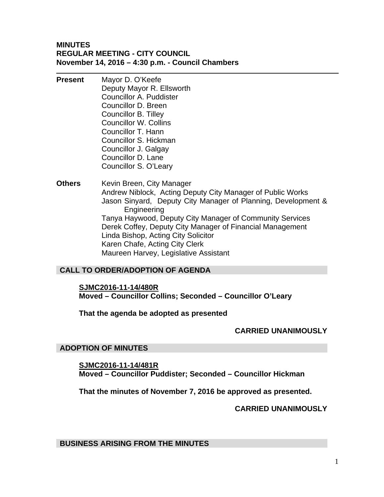#### **MINUTES REGULAR MEETING - CITY COUNCIL November 14, 2016 – 4:30 p.m. - Council Chambers**

- **Present** Mayor D. O'Keefe Deputy Mayor R. Ellsworth Councillor A. Puddister Councillor D. Breen Councillor B. Tilley Councillor W. Collins Councillor T. Hann Councillor S. Hickman Councillor J. Galgay Councillor D. Lane Councillor S. O'Leary
- **Others** Kevin Breen, City Manager Andrew Niblock, Acting Deputy City Manager of Public Works Jason Sinyard, Deputy City Manager of Planning, Development & Engineering Tanya Haywood, Deputy City Manager of Community Services Derek Coffey, Deputy City Manager of Financial Management Linda Bishop, Acting City Solicitor Karen Chafe, Acting City Clerk Maureen Harvey, Legislative Assistant

### **CALL TO ORDER/ADOPTION OF AGENDA**

#### **SJMC2016-11-14/480R**

**Moved – Councillor Collins; Seconded – Councillor O'Leary** 

#### **That the agenda be adopted as presented**

#### **CARRIED UNANIMOUSLY**

#### **ADOPTION OF MINUTES**

**SJMC2016-11-14/481R Moved – Councillor Puddister; Seconded – Councillor Hickman** 

**That the minutes of November 7, 2016 be approved as presented.** 

#### **CARRIED UNANIMOUSLY**

**BUSINESS ARISING FROM THE MINUTES**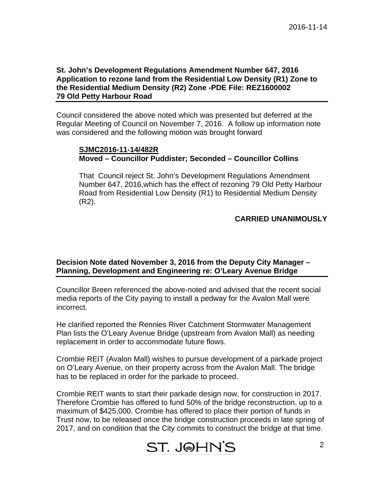#### **St. John's Development Regulations Amendment Number 647, 2016 Application to rezone land from the Residential Low Density (R1) Zone to the Residential Medium Density (R2) Zone -PDE File: REZ1600002 79 Old Petty Harbour Road**

Council considered the above noted which was presented but deferred at the Regular Meeting of Council on November 7, 2016. A follow up information note was considered and the following motion was brought forward

#### **SJMC2016-11-14/482R Moved – Councillor Puddister; Seconded – Councillor Collins**

That Council reject St. John's Development Regulations Amendment Number 647, 2016,which has the effect of rezoning 79 Old Petty Harbour Road from Residential Low Density (R1) to Residential Medium Density (R2).

#### **CARRIED UNANIMOUSLY**

#### **Decision Note dated November 3, 2016 from the Deputy City Manager – Planning, Development and Engineering re: O'Leary Avenue Bridge**

Councillor Breen referenced the above-noted and advised that the recent social media reports of the City paying to install a pedway for the Avalon Mall were incorrect.

He clarified reported the Rennies River Catchment Stormwater Management Plan lists the O'Leary Avenue Bridge (upstream from Avalon Mall) as needing replacement in order to accommodate future flows.

Crombie REIT (Avalon Mall) wishes to pursue development of a parkade project on O'Leary Avenue, on their property across from the Avalon Mall. The bridge has to be replaced in order for the parkade to proceed.

Crombie REIT wants to start their parkade design now, for construction in 2017. Therefore Crombie has offered to fund 50% of the bridge reconstruction, up to a maximum of \$425,000. Crombie has offered to place their portion of funds in Trust now, to be released once the bridge construction proceeds in late spring of 2017, and on condition that the City commits to construct the bridge at that time.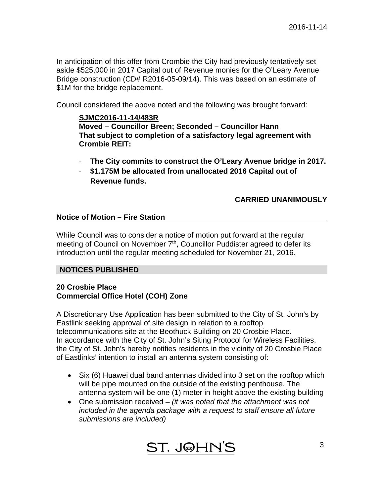In anticipation of this offer from Crombie the City had previously tentatively set aside \$525,000 in 2017 Capital out of Revenue monies for the O'Leary Avenue Bridge construction (CD# R2016-05-09/14). This was based on an estimate of \$1M for the bridge replacement.

Council considered the above noted and the following was brought forward:

#### **SJMC2016-11-14/483R**

 **Moved – Councillor Breen; Seconded – Councillor Hann That subject to completion of a satisfactory legal agreement with Crombie REIT:** 

- **The City commits to construct the O'Leary Avenue bridge in 2017.**
- **\$1.175M be allocated from unallocated 2016 Capital out of Revenue funds.**

#### **CARRIED UNANIMOUSLY**

#### **Notice of Motion – Fire Station**

While Council was to consider a notice of motion put forward at the regular meeting of Council on November 7<sup>th</sup>, Councillor Puddister agreed to defer its introduction until the regular meeting scheduled for November 21, 2016.

#### **NOTICES PUBLISHED**

#### **20 Crosbie Place Commercial Office Hotel (COH) Zone**

A Discretionary Use Application has been submitted to the City of St. John's by Eastlink seeking approval of site design in relation to a rooftop telecommunications site at the Beothuck Building on 20 Crosbie Place**.**  In accordance with the City of St. John's Siting Protocol for Wireless Facilities, the City of St. John's hereby notifies residents in the vicinity of 20 Crosbie Place of Eastlinks' intention to install an antenna system consisting of:

- Six (6) Huawei dual band antennas divided into 3 set on the rooftop which will be pipe mounted on the outside of the existing penthouse. The antenna system will be one (1) meter in height above the existing building
- One submission received *(it was noted that the attachment was not included in the agenda package with a request to staff ensure all future submissions are included)*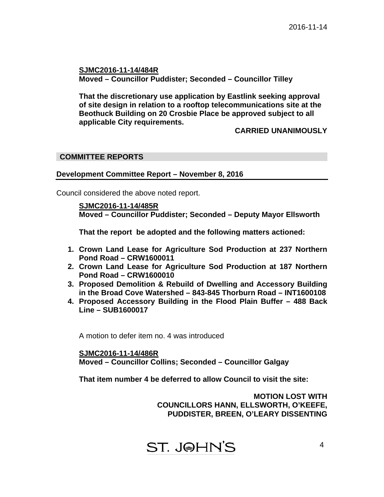**SJMC2016-11-14/484R Moved – Councillor Puddister; Seconded – Councillor Tilley** 

**That the discretionary use application by Eastlink seeking approval of site design in relation to a rooftop telecommunications site at the Beothuck Building on 20 Crosbie Place be approved subject to all applicable City requirements.** 

#### **CARRIED UNANIMOUSLY**

#### **COMMITTEE REPORTS**

#### **Development Committee Report – November 8, 2016**

Council considered the above noted report.

 **SJMC2016-11-14/485R Moved – Councillor Puddister; Seconded – Deputy Mayor Ellsworth** 

 **That the report be adopted and the following matters actioned:** 

- **1. Crown Land Lease for Agriculture Sod Production at 237 Northern Pond Road – CRW1600011**
- **2. Crown Land Lease for Agriculture Sod Production at 187 Northern Pond Road – CRW1600010**
- **3. Proposed Demolition & Rebuild of Dwelling and Accessory Building in the Broad Cove Watershed – 843-845 Thorburn Road – INT1600108**
- **4. Proposed Accessory Building in the Flood Plain Buffer 488 Back Line – SUB1600017**

A motion to defer item no. 4 was introduced

**SJMC2016-11-14/486R Moved – Councillor Collins; Seconded – Councillor Galgay** 

**That item number 4 be deferred to allow Council to visit the site:** 

**MOTION LOST WITH COUNCILLORS HANN, ELLSWORTH, O'KEEFE, PUDDISTER, BREEN, O'LEARY DISSENTING** 

ST. J@HN'S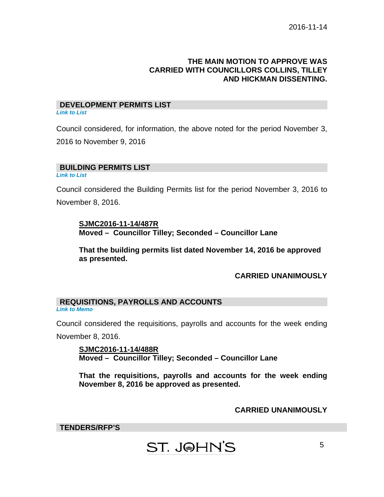#### **THE MAIN MOTION TO APPROVE WAS CARRIED WITH COUNCILLORS COLLINS, TILLEY AND HICKMAN DISSENTING.**

#### **DEVELOPMENT PERMITS LIST**  *Link to List*

Council considered, for information, the above noted for the period November 3, 2016 to November 9, 2016

#### **BUILDING PERMITS LIST**

*Link to List* 

Council considered the Building Permits list for the period November 3, 2016 to November 8, 2016.

#### **SJMC2016-11-14/487R Moved – Councillor Tilley; Seconded – Councillor Lane**

**That the building permits list dated November 14, 2016 be approved as presented.** 

### **CARRIED UNANIMOUSLY**

#### **REQUISITIONS, PAYROLLS AND ACCOUNTS**  *Link to Memo*

Council considered the requisitions, payrolls and accounts for the week ending November 8, 2016.

**SJMC2016-11-14/488R Moved – Councillor Tilley; Seconded – Councillor Lane** 

**That the requisitions, payrolls and accounts for the week ending November 8, 2016 be approved as presented.** 

#### **CARRIED UNANIMOUSLY**

**TENDERS/RFP'S** 

## **ST. J@HN'S**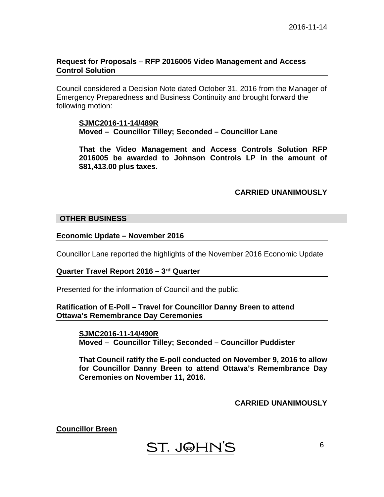#### **Request for Proposals – RFP 2016005 Video Management and Access Control Solution**

Council considered a Decision Note dated October 31, 2016 from the Manager of Emergency Preparedness and Business Continuity and brought forward the following motion:

#### **SJMC2016-11-14/489R Moved – Councillor Tilley; Seconded – Councillor Lane**

**That the Video Management and Access Controls Solution RFP 2016005 be awarded to Johnson Controls LP in the amount of \$81,413.00 plus taxes.** 

#### **CARRIED UNANIMOUSLY**

#### **OTHER BUSINESS**

**Economic Update – November 2016** 

Councillor Lane reported the highlights of the November 2016 Economic Update

#### **Quarter Travel Report 2016 – 3rd Quarter**

Presented for the information of Council and the public.

#### **Ratification of E-Poll – Travel for Councillor Danny Breen to attend Ottawa's Remembrance Day Ceremonies**

**SJMC2016-11-14/490R Moved – Councillor Tilley; Seconded – Councillor Puddister** 

**That Council ratify the E-poll conducted on November 9, 2016 to allow for Councillor Danny Breen to attend Ottawa's Remembrance Day Ceremonies on November 11, 2016.** 

#### **CARRIED UNANIMOUSLY**

**Councillor Breen** 

ST. J@HN'S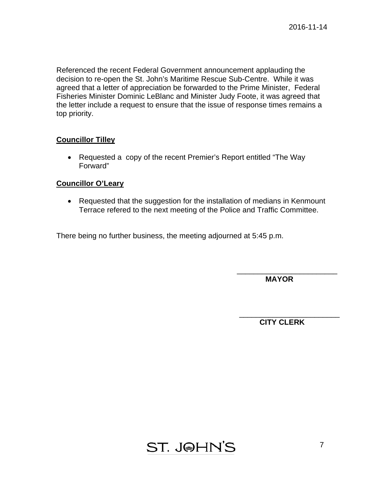Referenced the recent Federal Government announcement applauding the decision to re-open the St. John's Maritime Rescue Sub-Centre. While it was agreed that a letter of appreciation be forwarded to the Prime Minister, Federal Fisheries Minister Dominic LeBlanc and Minister Judy Foote, it was agreed that the letter include a request to ensure that the issue of response times remains a top priority.

#### **Councillor Tilley**

• Requested a copy of the recent Premier's Report entitled "The Way" Forward"

#### **Councillor O'Leary**

• Requested that the suggestion for the installation of medians in Kenmount Terrace refered to the next meeting of the Police and Traffic Committee.

There being no further business, the meeting adjourned at 5:45 p.m.

 **MAYOR** 

\_\_\_\_\_\_\_\_\_\_\_\_\_\_\_\_\_\_\_\_\_\_\_\_

 **CITY CLERK** 

\_\_\_\_\_\_\_\_\_\_\_\_\_\_\_\_\_\_\_\_\_\_\_\_

**ST. J@HN'S**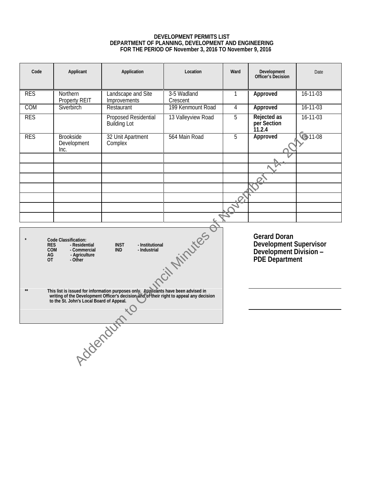#### **DEVELOPMENT PERMITS LIST DEPARTMENT OF PLANNING, DEVELOPMENT AND ENGINEERING FOR THE PERIOD OF November 3, 2016 TO November 9, 2016**

| Code                                                                                                                                                                                                        | Applicant                                | Application                                                                                                                                                              | Location                | Ward                                                                               | Development<br>Officer's Decision    | Date           |
|-------------------------------------------------------------------------------------------------------------------------------------------------------------------------------------------------------------|------------------------------------------|--------------------------------------------------------------------------------------------------------------------------------------------------------------------------|-------------------------|------------------------------------------------------------------------------------|--------------------------------------|----------------|
| <b>RES</b>                                                                                                                                                                                                  | Northern<br>Property REIT                | Landscape and Site<br>Improvements                                                                                                                                       | 3-5 Wadland<br>Crescent | 1                                                                                  | Approved                             | $16 - 11 - 03$ |
| COM                                                                                                                                                                                                         | Siverbirch                               | Restaurant                                                                                                                                                               | 199 Kenmount Road       | 4                                                                                  | Approved                             | $16 - 11 - 03$ |
| <b>RES</b>                                                                                                                                                                                                  |                                          | Proposed Residential<br><b>Building Lot</b>                                                                                                                              | 13 Valleyview Road      | 5                                                                                  | Rejected as<br>per Section<br>11.2.4 | $16 - 11 - 03$ |
| <b>RES</b>                                                                                                                                                                                                  | <b>Brookside</b><br>Development<br>Inc.  | 32 Unit Apartment<br>Complex                                                                                                                                             | 564 Main Road           | 5                                                                                  | Approved                             | $611-08$       |
|                                                                                                                                                                                                             |                                          |                                                                                                                                                                          |                         |                                                                                    |                                      |                |
|                                                                                                                                                                                                             |                                          |                                                                                                                                                                          |                         |                                                                                    |                                      |                |
|                                                                                                                                                                                                             |                                          |                                                                                                                                                                          |                         |                                                                                    |                                      |                |
|                                                                                                                                                                                                             |                                          |                                                                                                                                                                          |                         |                                                                                    |                                      |                |
| Citylinutes of<br>Code Classification:<br>- Residential<br><b>INST</b><br>- Institutional<br><b>RES</b><br><b>COM</b><br>- Commercial<br><b>IND</b><br>- Industrial<br>- Agriculture<br>AG<br>- Other<br>OT |                                          |                                                                                                                                                                          |                         | Gerard Doran<br>Development Supervisor<br>Development Division -<br>PDE Department |                                      |                |
|                                                                                                                                                                                                             | to the St. John's Local Board of Appeal. | This list is issued for information purposes only. Applicants have been advised in writing of the Development Officer's decision and spheir right to appeal any decision |                         |                                                                                    |                                      |                |
|                                                                                                                                                                                                             |                                          | Addenturnio                                                                                                                                                              |                         |                                                                                    |                                      |                |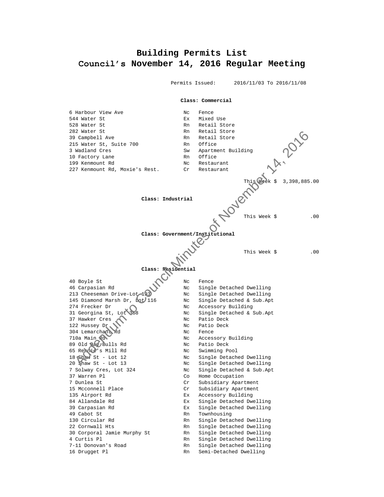#### **Building Permits List Council's November 14, 2016 Regular Meeting**

 Permits Issued: 2016/11/03 To 2016/11/08 **Class: Commercial** 6 Harbour View Ave 1999 1999 No Rence 544 Water St Ex Mixed Use<br>528 Water St Ex Rn Retail St Rn Retail Store 282 Water St **Rn** Retail Store 39 Campbell Ave **Rn** Retail Store 215 Water St, Suite 700 Rn Office 3 Wadland Cres Sw Apartment Building 10 Factory Lane Rn Office 199 Kenmount Rd No Nc Restaurant 227 Kenmount Rd, Moxie's Rest. Cr Restaurant This Week \$ 3,398,885.00 **Class: Industrial**  This Week \$ .00 **Class: Government/Institutional** This Week \$ .00 **Class: Residential** 40 Boyle St Nc Fence 46 Carpasian Rd No Nc Single Detached Dwelling<br>213 Cheeseman Drive-Lot 1994 Nc Single Detached Dwelling Nc Single Detached Dwelling 145 Diamond Marsh Dr, lot 116 Nc Single Detached & Sub.Apt 274 Frecker Dr Nc Accessory Building<br>31 Georgina St, Lot 368 Nc Single Detached & S Nc Single Detached & Sub.Apt 37 Hawker Cres<br>
122 Hussey Dr. Nc Patio Deck<br>
Nc Patio Deck<br>
Nc Patio Deck 122 Hussey Dr. No. No. Patio Deck 304 Lemarchant Rd Nc Fence 710a Main Rd<br>
89 Old Republis Rd<br>
65 Republic's Mill Rd<br>
65 Republic's Mill Rd<br>
19 Mc Swimming Pool 89 Old Bay Bulls Rd Nc Patio Deck 65 Rennie's Mill Rd Nc Swimming Pool 18 Shaw St - Lot 12 Nc Single Detached Dwelling<br>20 Shaw St - Lot 13 Nc Single Detached Dwelling Nc Single Detached Dwelling 7 Solway Cres, Lot 324 Nc Single Detached & Sub.Apt 37 Warren Pl Co Home Occupation 7 Dunlea St Cr Subsidiary Apartment 15 Mcconnell Place Cr Subsidiary Apartment 135 Airport Rd Ex Accessory Building 84 Allandale Rd **Ex** Single Detached Dwelling 39 Carpasian Rd Ex Single Detached Dwelling At Mater St. Let  $\frac{1}{2}$  Minutes of November 2013<br>
IS National Creen State 700 Final Store of November 14, 2016<br>
19 Sentopy Lane<br>
19 Sentopy Lane Minutes of November 14, 2016<br>
19 Sentopy Lane Minutes of November 14, 201

49 Cabot St Rn Townhousing 130 Circular Rd **Rn** Single Detached Dwelling 22 Cornwall Hts Rn Single Detached Dwelling 30 Corporal Jamie Murphy St Rn Single Detached Dwelling 4 Curtis Pl Rn Single Detached Dwelling

- 
- 
- 7-11 Donovan's Road and Rn Single Detached Dwelling
- 16 Drugget Pl **Rn** Semi-Detached Dwelling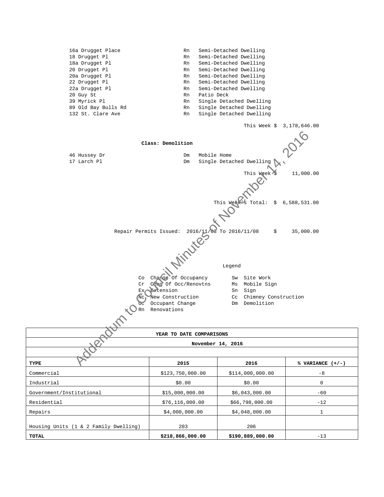|                                                   | YEAR TO DATE COMPARISONS<br>November 14, 2016                                                                                                                                                                                  |                                                                                                    |              |
|---------------------------------------------------|--------------------------------------------------------------------------------------------------------------------------------------------------------------------------------------------------------------------------------|----------------------------------------------------------------------------------------------------|--------------|
|                                                   |                                                                                                                                                                                                                                |                                                                                                    |              |
| Co<br>Cr<br>Ex.<br>$Nc_1$<br>$\overline{C}$<br>Rn | Change Of Occupancy<br>Chig Of Occ/Renovtns<br><b>Br</b> tension<br>New Construction<br>Occupant Change<br>Renovations                                                                                                         | Legend<br>Sw Site Work<br>Ms Mobile Sign<br>Sn<br>Sign<br>Cc Chimney Construction<br>Dm Demolition |              |
| Repair Permits Issued:                            | MINTON REPAIR OF THE REAL PROPERTY OF THE REAL PROPERTY OF THE REAL PROPERTY OF THE REAL PROPERTY OF THE REAL PROPERTY OF THE REAL PROPERTY OF THE REAL PROPERTY OF THE REAL PROPERTY OF THE REAL PROPERTY OF THE REAL PROPERT | \$                                                                                                 | 35,000.00    |
|                                                   |                                                                                                                                                                                                                                | This Weak<br>Total:<br>\$                                                                          | 6,588,531.00 |
|                                                   |                                                                                                                                                                                                                                | This Week                                                                                          | 11,000.00    |
| 46 Hussey Dr<br>17 Larch Pl                       | Dm<br>Mobile Home<br>Dm                                                                                                                                                                                                        | Single Detached Dwelling                                                                           |              |
|                                                   | Class: Demolition                                                                                                                                                                                                              |                                                                                                    |              |
|                                                   |                                                                                                                                                                                                                                | This Week \$ 3,178,646.00                                                                          |              |
| 89 Old Bay Bulls Rd<br>132 St. Clare Ave          | Rn<br>Rn                                                                                                                                                                                                                       | Single Detached Dwelling<br>Single Detached Dwelling                                               |              |
| 20 Guy St<br>39 Myrick Pl                         | Patio Deck<br>Rn<br>Rn                                                                                                                                                                                                         | Single Detached Dwelling                                                                           |              |
| 22 Drugget Pl<br>22a Drugget Pl                   | Rn<br>Rn                                                                                                                                                                                                                       | Semi-Detached Dwelling<br>Semi-Detached Dwelling                                                   |              |
| 20 Drugget Pl<br>20a Drugget Pl                   | Rn<br>Rn                                                                                                                                                                                                                       | Semi-Detached Dwelling<br>Semi-Detached Dwelling                                                   |              |
| 18 Drugget Pl<br>18a Drugget Pl                   | Rn<br>Rn                                                                                                                                                                                                                       | Semi-Detached Dwelling<br>Semi-Detached Dwelling                                                   |              |
| 16a Drugget Place                                 | Rn                                                                                                                                                                                                                             | Semi-Detached Dwelling                                                                             |              |

#### Legend

| YEAR TO DATE COMPARISONS                         |                   |                  |                    |  |  |
|--------------------------------------------------|-------------------|------------------|--------------------|--|--|
| November 14, 2016                                |                   |                  |                    |  |  |
|                                                  |                   |                  |                    |  |  |
| TYPE                                             | 2015              | 2016             | % VARIANCE $(+/-)$ |  |  |
| Commercial                                       | \$123,750,000.00  | \$114,000,000.00 | $-8$               |  |  |
| Industrial                                       | \$0.00            | \$0.00           | $\mathbf 0$        |  |  |
| Government/Institutional                         | \$15,000,000.00   | \$6,043,000.00   | $-60$              |  |  |
| Residential                                      | \$76, 116, 000.00 | \$66,798,000.00  | $-12$              |  |  |
| Repairs                                          | \$4,000,000.00    | \$4,048,000.00   | 1                  |  |  |
| Housing Units $(1 \& 2 \text{ Family Dwelling})$ | 203               | 206              |                    |  |  |
| TOTAL                                            | \$218,866,000.00  | \$190,889,000.00 | $-13$              |  |  |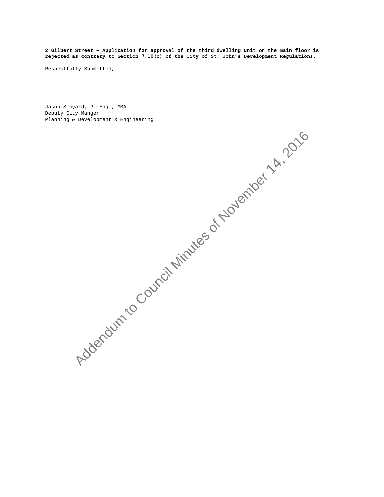**2 Gilbert Street – Application for approval of the third dwelling unit on the main floor is rejected as contrary to Section 7.10(c) of the City of St. John's Development Regulations.**

Respectfully Submitted,

Jason Sinyard, P. Eng., MBA Deputy City Manger Planning & Development & Engineering

Addendum to Council Minutes of November 14, 2016